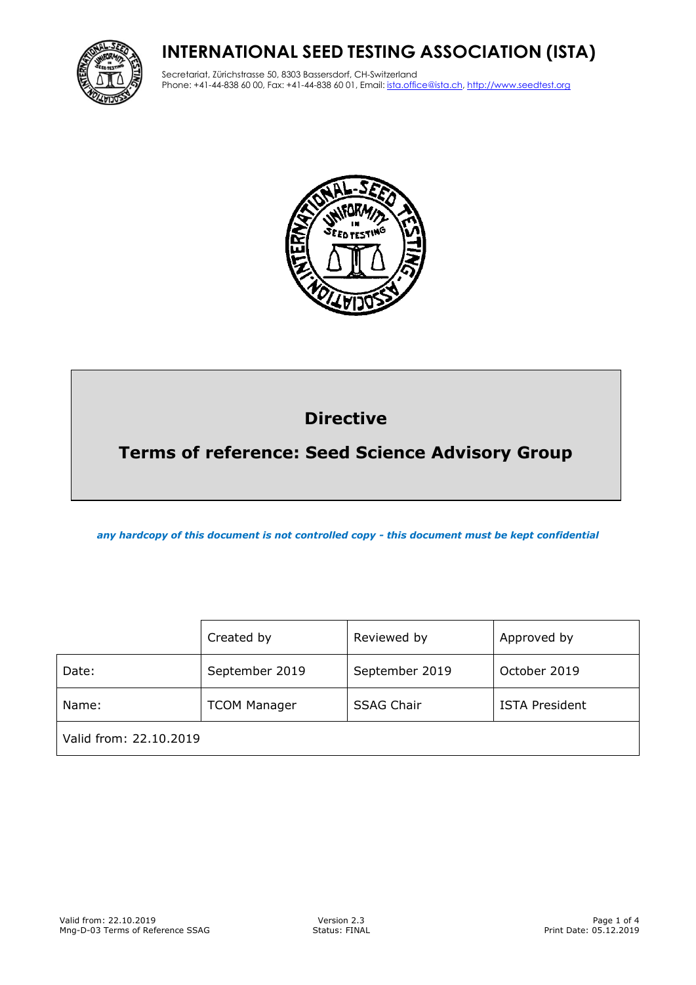# **INTERNATIONAL SEED TESTING ASSOCIATION (ISTA)**



Secretariat, Zürichstrasse 50, 8303 Bassersdorf, CH-Switzerland Phone: +41-44-838 60 00, Fax: +41-44-838 60 01, Email: ista.office@ista.ch, http://www.seedtest.org



# **Directive**

# **Terms of reference: Seed Science Advisory Group**

*any hardcopy of this document is not controlled copy - this document must be kept confidential*

|                        | Created by          | Reviewed by       | Approved by           |
|------------------------|---------------------|-------------------|-----------------------|
| Date:                  | September 2019      | September 2019    | October 2019          |
| Name:                  | <b>TCOM Manager</b> | <b>SSAG Chair</b> | <b>ISTA President</b> |
| Valid from: 22.10.2019 |                     |                   |                       |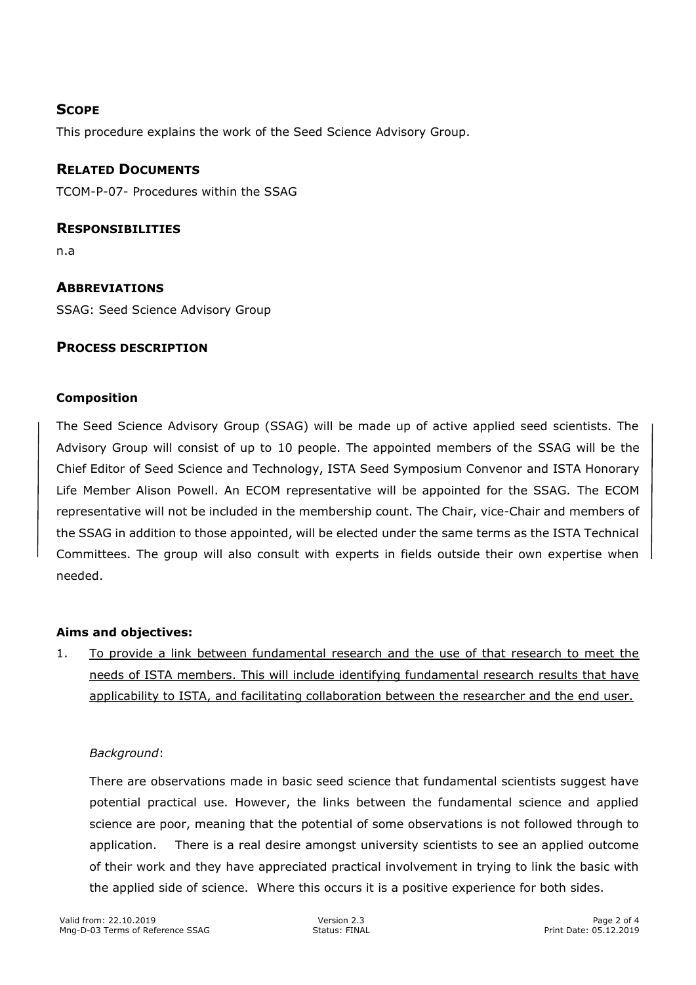# **SCOPE**

This procedure explains the work of the Seed Science Advisory Group.

# **RELATED DOCUMENTS**

TCOM-P-07- Procedures within the SSAG

## **RESPONSIBILITIES**

n.a

# **ABBREVIATIONS**

SSAG: Seed Science Advisory Group

# **PROCESS DESCRIPTION**

## **Composition**

The Seed Science Advisory Group (SSAG) will be made up of active applied seed scientists. The Advisory Group will consist of up to 10 people. The appointed members of the SSAG will be the Chief Editor of Seed Science and Technology, ISTA Seed Symposium Convenor and ISTA Honorary Life Member Alison Powell. An ECOM representative will be appointed for the SSAG. The ECOM representative will not be included in the membership count. The Chair, vice-Chair and members of the SSAG in addition to those appointed, will be elected under the same terms as the ISTA Technical Committees. The group will also consult with experts in fields outside their own expertise when needed.

# **Aims and objectives:**

1. To provide a link between fundamental research and the use of that research to meet the needs of ISTA members. This will include identifying fundamental research results that have applicability to ISTA, and facilitating collaboration between the researcher and the end user.

#### *Background*:

There are observations made in basic seed science that fundamental scientists suggest have potential practical use. However, the links between the fundamental science and applied science are poor, meaning that the potential of some observations is not followed through to application. There is a real desire amongst university scientists to see an applied outcome of their work and they have appreciated practical involvement in trying to link the basic with the applied side of science. Where this occurs it is a positive experience for both sides.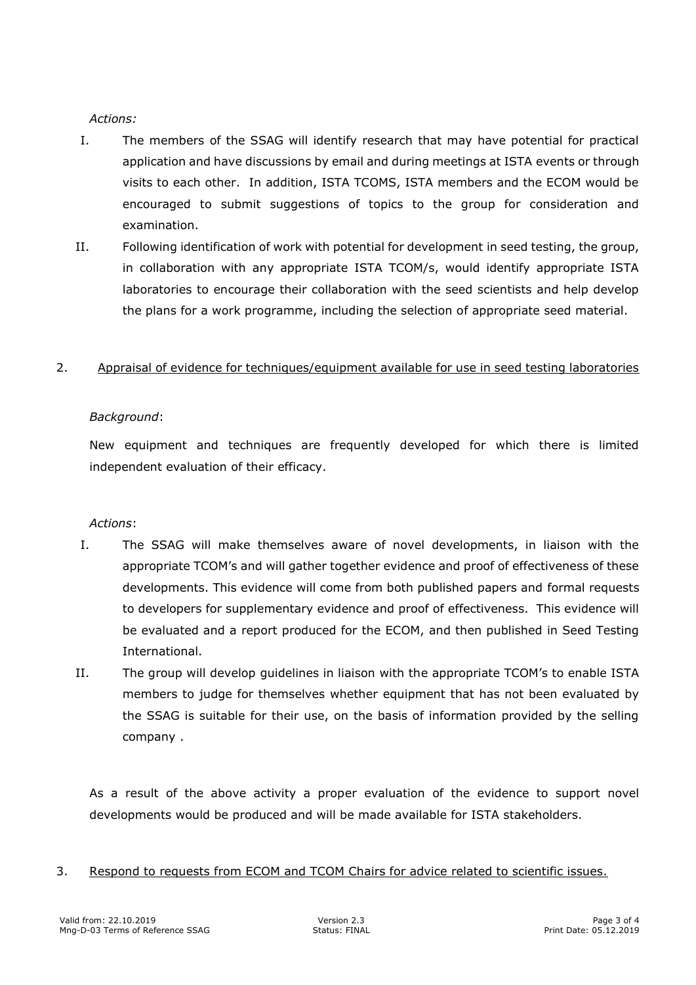#### *Actions:*

- I. The members of the SSAG will identify research that may have potential for practical application and have discussions by email and during meetings at ISTA events or through visits to each other. In addition, ISTA TCOMS, ISTA members and the ECOM would be encouraged to submit suggestions of topics to the group for consideration and examination.
- II. Following identification of work with potential for development in seed testing, the group, in collaboration with any appropriate ISTA TCOM/s, would identify appropriate ISTA laboratories to encourage their collaboration with the seed scientists and help develop the plans for a work programme, including the selection of appropriate seed material.

## 2. Appraisal of evidence for techniques/equipment available for use in seed testing laboratories

## *Background*:

New equipment and techniques are frequently developed for which there is limited independent evaluation of their efficacy.

#### *Actions*:

- I. The SSAG will make themselves aware of novel developments, in liaison with the appropriate TCOM's and will gather together evidence and proof of effectiveness of these developments. This evidence will come from both published papers and formal requests to developers for supplementary evidence and proof of effectiveness. This evidence will be evaluated and a report produced for the ECOM, and then published in Seed Testing International.
- II. The group will develop guidelines in liaison with the appropriate TCOM's to enable ISTA members to judge for themselves whether equipment that has not been evaluated by the SSAG is suitable for their use, on the basis of information provided by the selling company .

As a result of the above activity a proper evaluation of the evidence to support novel developments would be produced and will be made available for ISTA stakeholders.

3. Respond to requests from ECOM and TCOM Chairs for advice related to scientific issues.